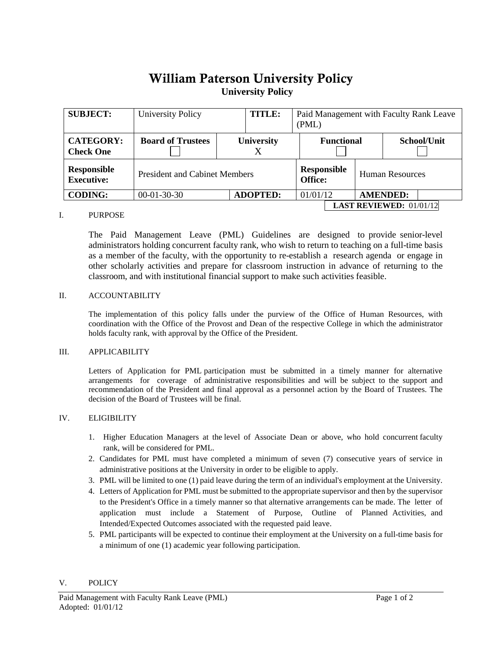# William Paterson University Policy**University Policy**

| <b>SUBJECT:</b>                         | <b>University Policy</b>             |  | <b>TITLE:</b>     |  | Paid Management with Faculty Rank Leave<br>(PML) |  |                        |             |  |
|-----------------------------------------|--------------------------------------|--|-------------------|--|--------------------------------------------------|--|------------------------|-------------|--|
| <b>CATEGORY:</b><br><b>Check One</b>    | <b>Board of Trustees</b>             |  | <b>University</b> |  | <b>Functional</b>                                |  |                        | School/Unit |  |
| <b>Responsible</b><br><b>Executive:</b> | <b>President and Cabinet Members</b> |  |                   |  | <b>Responsible</b><br>Office:                    |  | <b>Human Resources</b> |             |  |
| <b>CODING:</b>                          | $00-01-30-30$                        |  | <b>ADOPTED:</b>   |  | 01/01/12                                         |  | <b>AMENDED:</b>        |             |  |
|                                         | <b>LAST REVIEWED:</b> $01/01/12$     |  |                   |  |                                                  |  |                        |             |  |

## I. PURPOSE

The Paid Management Leave (PML) Guidelines are designed to provide senior-level administrators holding concurrent faculty rank, who wish to return to teaching on a full-time basis as a member of the faculty, with the opportunity to re-establish a research agenda or engage in other scholarly activities and prepare for classroom instruction in advance of returning to the classroom, and with institutional financial support to make such activities feasible.

## II. ACCOUNTABILITY

The implementation of this policy falls under the purview of the Office of Human Resources, with coordination with the Office of the Provost and Dean of the respective College in which the administrator holds faculty rank, with approval by the Office of the President.

## III. APPLICABILITY

Letters of Application for PML participation must be submitted in a timely manner for alternative arrangements for coverage of administrative responsibilities and will be subject to the support and recommendation of the President and final approval as a personnel action by the Board of Trustees. The decision of the Board of Trustees will be final.

## IV. ELIGIBILITY

- 1. Higher Education Managers at the level of Associate Dean or above, who hold concurrent faculty rank, will be considered for PML.
- 2. Candidates for PML must have completed a minimum of seven (7) consecutive years of service in administrative positions at the University in order to be eligible to apply.
- 3. PML will be limited to one (1) paid leave during the term of an individual's employment at the University.
- 4. Letters of Application for PML must be submitted to the appropriate supervisor and then by the supervisor to the President's Office in a timely manner so that alternative arrangements can be made. The letter of application must include a Statement of Purpose, Outline of Planned Activities, and Intended/Expected Outcomes associated with the requested paid leave.
- 5. PML participants will be expected to continue their employment at the University on a full-time basis for a minimum of one (1) academic year following participation.

#### V. POLICY